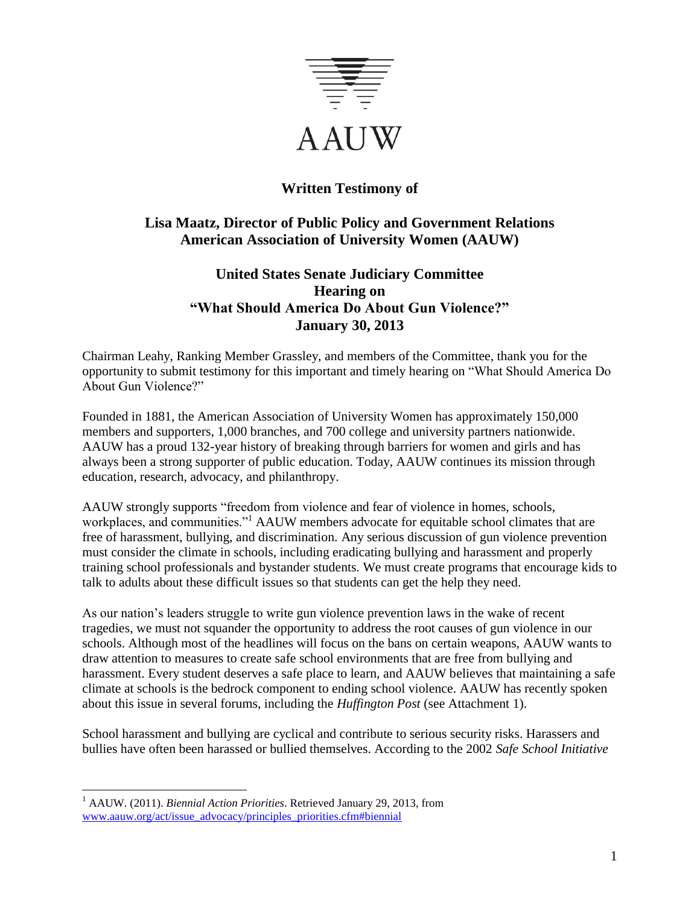

### **Written Testimony of**

#### **Lisa Maatz, Director of Public Policy and Government Relations American Association of University Women (AAUW)**

#### **United States Senate Judiciary Committee Hearing on "What Should America Do About Gun Violence?" January 30, 2013**

Chairman Leahy, Ranking Member Grassley, and members of the Committee, thank you for the opportunity to submit testimony for this important and timely hearing on "What Should America Do About Gun Violence?"

Founded in 1881, the American Association of University Women has approximately 150,000 members and supporters, 1,000 branches, and 700 college and university partners nationwide. AAUW has a proud 132-year history of breaking through barriers for women and girls and has always been a strong supporter of public education. Today, AAUW continues its mission through education, research, advocacy, and philanthropy.

AAUW strongly supports "freedom from violence and fear of violence in homes, schools, workplaces, and communities."<sup>1</sup> AAUW members advocate for equitable school climates that are free of harassment, bullying, and discrimination. Any serious discussion of gun violence prevention must consider the climate in schools, including eradicating bullying and harassment and properly training school professionals and bystander students. We must create programs that encourage kids to talk to adults about these difficult issues so that students can get the help they need.

As our nation's leaders struggle to write gun violence prevention laws in the wake of recent tragedies, we must not squander the opportunity to address the root causes of gun violence in our schools. Although most of the headlines will focus on the bans on certain weapons, AAUW wants to draw attention to measures to create safe school environments that are free from bullying and harassment. Every student deserves a safe place to learn, and AAUW believes that maintaining a safe climate at schools is the bedrock component to ending school violence. AAUW has recently spoken about this issue in several forums, including the *Huffington Post* (see Attachment 1).

School harassment and bullying are cyclical and contribute to serious security risks. Harassers and bullies have often been harassed or bullied themselves. According to the 2002 *Safe School Initiative*

 $\overline{a}$ 

<sup>1</sup> AAUW. (2011). *Biennial Action Priorities*. Retrieved January 29, 2013, from [www.aauw.org/act/issue\\_advocacy/principles\\_priorities.cfm#biennial](http://www.aauw.org/act/issue_advocacy/principles_priorities.cfm#biennial)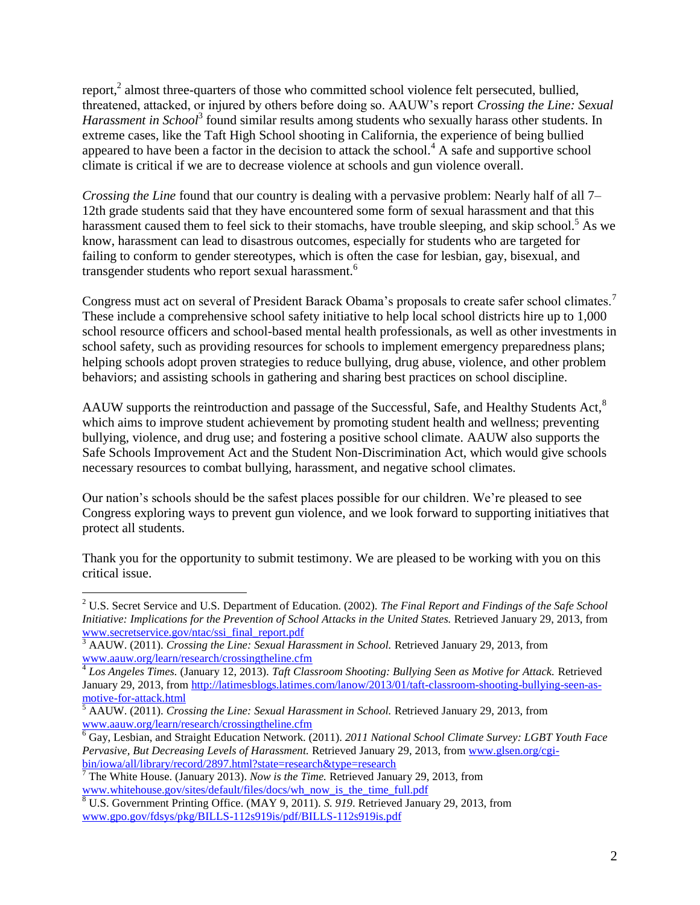report,<sup>2</sup> almost three-quarters of those who committed school violence felt persecuted, bullied, threatened, attacked, or injured by others before doing so. AAUW's report *Crossing the Line: Sexual*  Harassment in School<sup>3</sup> found similar results among students who sexually harass other students. In extreme cases, like the Taft High School shooting in California, the experience of being bullied appeared to have been a factor in the decision to attack the school.<sup>4</sup> A safe and supportive school climate is critical if we are to decrease violence at schools and gun violence overall.

*Crossing the Line* found that our country is dealing with a pervasive problem: Nearly half of all 7– 12th grade students said that they have encountered some form of sexual harassment and that this harassment caused them to feel sick to their stomachs, have trouble sleeping, and skip school.<sup>5</sup> As we know, harassment can lead to disastrous outcomes, especially for students who are targeted for failing to conform to gender stereotypes, which is often the case for lesbian, gay, bisexual, and transgender students who report sexual harassment.<sup>6</sup>

Congress must act on several of President Barack Obama's proposals to create safer school climates.<sup>7</sup> These include a comprehensive school safety initiative to help local school districts hire up to 1,000 school resource officers and school-based mental health professionals, as well as other investments in school safety, such as providing resources for schools to implement emergency preparedness plans; helping schools adopt proven strategies to reduce bullying, drug abuse, violence, and other problem behaviors; and assisting schools in gathering and sharing best practices on school discipline.

AAUW supports the reintroduction and passage of the Successful, Safe, and Healthy Students Act,<sup>8</sup> which aims to improve student achievement by promoting student health and wellness; preventing bullying, violence, and drug use; and fostering a positive school climate. AAUW also supports the Safe Schools Improvement Act and the Student Non-Discrimination Act, which would give schools necessary resources to combat bullying, harassment, and negative school climates.

Our nation's schools should be the safest places possible for our children. We're pleased to see Congress exploring ways to prevent gun violence, and we look forward to supporting initiatives that protect all students.

Thank you for the opportunity to submit testimony. We are pleased to be working with you on this critical issue.

 $\overline{a}$ 

<sup>2</sup> U.S. Secret Service and U.S. Department of Education. (2002). *The Final Report and Findings of the Safe School Initiative: Implications for the Prevention of School Attacks in the United States.* Retrieved January 29, 2013, from [www.secretservice.gov/ntac/ssi\\_final\\_report.pdf](http://www.secretservice.gov/ntac/ssi_final_report.pdf)

<sup>&</sup>lt;sup>3</sup> AAUW. (2011). *Crossing the Line: Sexual Harassment in School.* Retrieved January 29, 2013, from

[www.aauw.org/learn/research/crossingtheline.cfm](http://www.aauw.org/learn/research/crossingtheline.cfm) 4 *Los Angeles Times.* (January 12, 2013). *Taft Classroom Shooting: Bullying Seen as Motive for Attack.* Retrieved January 29, 2013, from [http://latimesblogs.latimes.com/lanow/2013/01/taft-classroom-shooting-bullying-seen-as](http://latimesblogs.latimes.com/lanow/2013/01/taft-classroom-shooting-bullying-seen-as-motive-for-attack.html)[motive-for-attack.html](http://latimesblogs.latimes.com/lanow/2013/01/taft-classroom-shooting-bullying-seen-as-motive-for-attack.html)

<sup>&</sup>lt;sup>5</sup> AAUW. (2011). *Crossing the Line: Sexual Harassment in School.* Retrieved January 29, 2013, from [www.aauw.org/learn/research/crossingtheline.cfm](http://www.aauw.org/learn/research/crossingtheline.cfm)

<sup>6</sup> Gay, Lesbian, and Straight Education Network. (2011). *2011 National School Climate Survey: LGBT Youth Face Pervasive, But Decreasing Levels of Harassment.* Retrieved January 29, 2013, from [www.glsen.org/cgi](http://www.glsen.org/cgi-bin/iowa/all/library/record/2897.html?state=research&type=research)[bin/iowa/all/library/record/2897.html?state=research&type=research](http://www.glsen.org/cgi-bin/iowa/all/library/record/2897.html?state=research&type=research)

<sup>7</sup> The White House. (January 2013). *Now is the Time.* Retrieved January 29, 2013, from [www.whitehouse.gov/sites/default/files/docs/wh\\_now\\_is\\_the\\_time\\_full.pdf](http://www.whitehouse.gov/sites/default/files/docs/wh_now_is_the_time_full.pdf)

<sup>8</sup> U.S. Government Printing Office. (MAY 9, 2011). *S. 919*. Retrieved January 29, 2013, from [www.gpo.gov/fdsys/pkg/BILLS-112s919is/pdf/BILLS-112s919is.pdf](http://www.gpo.gov/fdsys/pkg/BILLS-112s919is/pdf/BILLS-112s919is.pdf)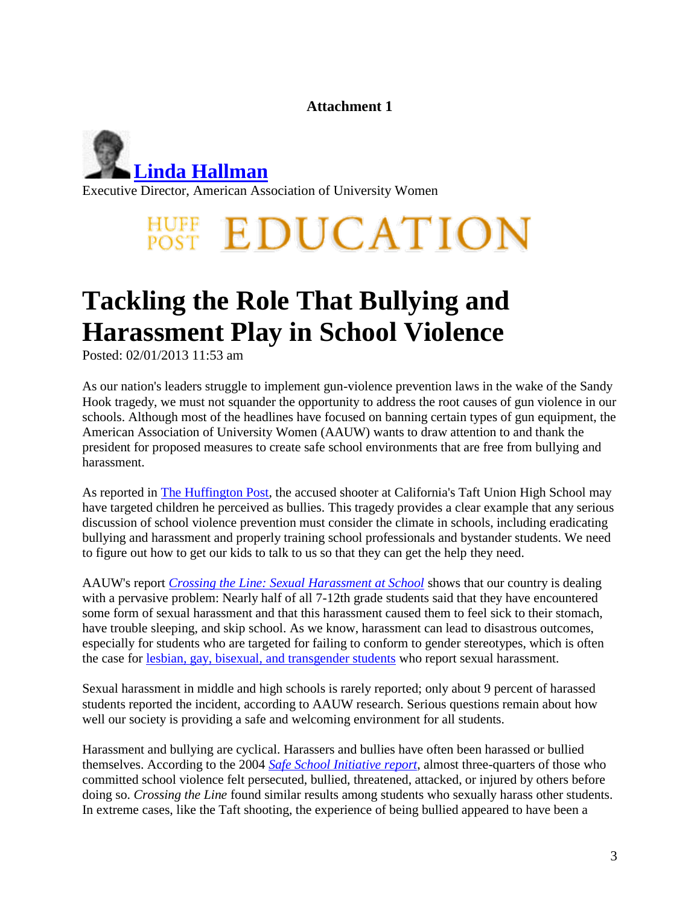#### **Attachment 1**



Executive Director, American Association of University Women

# **FOST EDUCATION**

## **Tackling the Role That Bullying and Harassment Play in School Violence**

Posted: 02/01/2013 11:53 am

As our nation's leaders struggle to implement gun-violence prevention laws in the wake of the Sandy Hook tragedy, we must not squander the opportunity to address the root causes of gun violence in our schools. Although most of the headlines have focused on banning certain types of gun equipment, the American Association of University Women (AAUW) wants to draw attention to and thank the president for proposed measures to create safe school environments that are free from bullying and harassment.

As reported in [The Huffington Post,](http://www.huffingtonpost.com/2013/01/10/taft-union-high-school-shooting-teacher_n_2450578.html) the accused shooter at California's Taft Union High School may have targeted children he perceived as bullies. This tragedy provides a clear example that any serious discussion of school violence prevention must consider the climate in schools, including eradicating bullying and harassment and properly training school professionals and bystander students. We need to figure out how to get our kids to talk to us so that they can get the help they need.

AAUW's report *[Crossing the Line: Sexual Harassment at School](http://www.aauw.org/learn/research/crossingtheline.cfm)* shows that our country is dealing with a pervasive problem: Nearly half of all 7-12th grade students said that they have encountered some form of sexual harassment and that this harassment caused them to feel sick to their stomach, have trouble sleeping, and skip school. As we know, harassment can lead to disastrous outcomes, especially for students who are targeted for failing to conform to gender stereotypes, which is often the case for [lesbian, gay, bisexual, and transgender students](http://www.glsen.org/cgi-bin/iowa/all/library/record/2897.html?state=research&type=research) who report sexual harassment.

Sexual harassment in middle and high schools is rarely reported; only about 9 percent of harassed students reported the incident, according to AAUW research. Serious questions remain about how well our society is providing a safe and welcoming environment for all students.

Harassment and bullying are cyclical. Harassers and bullies have often been harassed or bullied themselves. According to the 2004 *[Safe School Initiative report](http://www.secretservice.gov/ntac/ssi_final_report.pdf)*, almost three-quarters of those who committed school violence felt persecuted, bullied, threatened, attacked, or injured by others before doing so. *Crossing the Line* found similar results among students who sexually harass other students. In extreme cases, like the Taft shooting, the experience of being bullied appeared to have been a